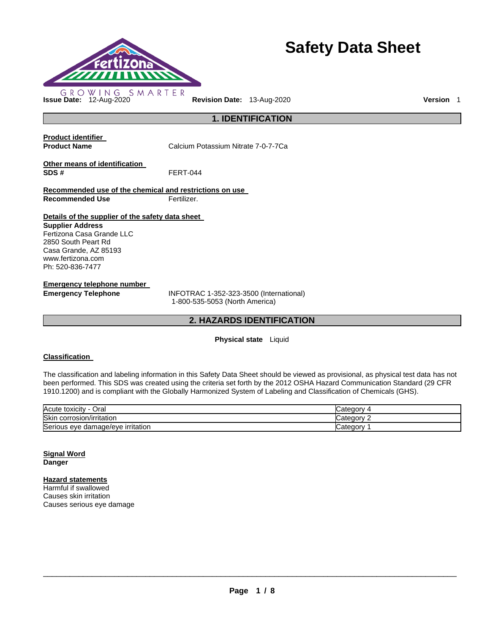

# **Safety Data Sheet**

**1. IDENTIFICATION** 

**Product identifier** 

**Product Name Calcium Potassium Nitrate 7-0-7-7Ca** 

**Other means of identification SDS #** FERT-044

**Recommended use of the chemical and restrictions on use Recommended Use Fertilizer.** 

**Details of the supplier of the safety data sheet** 

**Supplier Address** Fertizona Casa Grande LLC 2850 South Peart Rd Casa Grande, AZ 85193 www.fertizona.com Ph: 520-836-7477

**Emergency telephone number** 

**Emergency Telephone** INFOTRAC 1-352-323-3500 (International) 1-800-535-5053 (North America)

## **2. HAZARDS IDENTIFICATION**

## **Physical state** Liquid

## **Classification**

The classification and labeling information in this Safety Data Sheet should be viewed as provisional, as physical test data has not been performed. This SDS was created using the criteria set forth by the 2012 OSHA Hazard Communication Standard (29 CFR 1910.1200) and is compliant with the Globally Harmonized System of Labeling and Classification of Chemicals (GHS).

| Acute toxicity                         | nto qon       |
|----------------------------------------|---------------|
| Oral                                   | <b>Jalcyo</b> |
| Skin                                   | `atenony      |
| corrosion/irritation                   | Jalouvi e     |
| Serious eye<br>e damage/eve irritation | Sategory ب    |

## **Signal Word Danger**

## **Hazard statements**

Harmful if swallowed Causes skin irritation Causes serious eye damage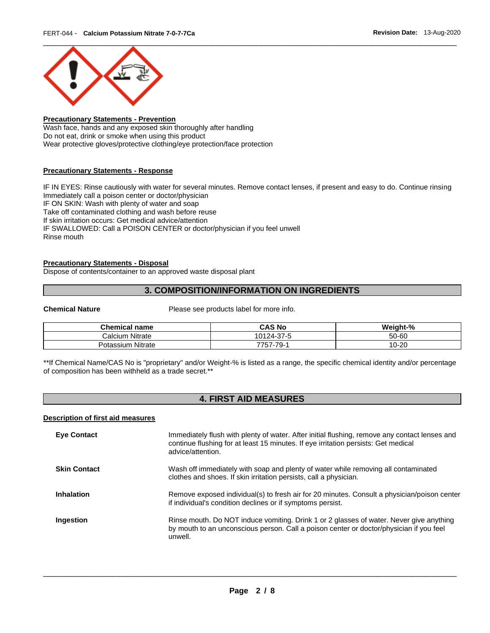

## **Precautionary Statements - Prevention**

Wash face, hands and any exposed skin thoroughly after handling Do not eat, drink or smoke when using this product Wear protective gloves/protective clothing/eye protection/face protection

## **Precautionary Statements - Response**

IF IN EYES: Rinse cautiously with water for several minutes. Remove contact lenses, if present and easy to do. Continue rinsing Immediately call a poison center or doctor/physician IF ON SKIN: Wash with plenty of water and soap Take off contaminated clothing and wash before reuse If skin irritation occurs: Get medical advice/attention IF SWALLOWED: Call a POISON CENTER or doctor/physician if you feel unwell Rinse mouth

## **Precautionary Statements - Disposal**

Dispose of contents/container to an approved waste disposal plant

## **3. COMPOSITION/INFORMATION ON INGREDIENTS**

**Chemical Nature** Please see products label for more info.

| <b>Chemical name</b>        | CAS No     | Weight-% |
|-----------------------------|------------|----------|
| <b>Nitrate</b><br>Calcium   | 10124-37-5 | 50-60    |
| <b>Nitrate</b><br>Potassium | 7757-79-   | 10-20    |

\*\*If Chemical Name/CAS No is "proprietary" and/or Weight-% is listed as a range, the specific chemical identity and/or percentage of composition has been withheld as a trade secret.\*\*

## **4. FIRST AID MEASURES**

### **Description of first aid measures**

| <b>Eye Contact</b>  | Immediately flush with plenty of water. After initial flushing, remove any contact lenses and<br>continue flushing for at least 15 minutes. If eye irritation persists: Get medical<br>advice/attention. |
|---------------------|----------------------------------------------------------------------------------------------------------------------------------------------------------------------------------------------------------|
| <b>Skin Contact</b> | Wash off immediately with soap and plenty of water while removing all contaminated<br>clothes and shoes. If skin irritation persists, call a physician.                                                  |
| <b>Inhalation</b>   | Remove exposed individual(s) to fresh air for 20 minutes. Consult a physician/poison center<br>if individual's condition declines or if symptoms persist.                                                |
| Ingestion           | Rinse mouth. Do NOT induce vomiting. Drink 1 or 2 glasses of water. Never give anything<br>by mouth to an unconscious person. Call a poison center or doctor/physician if you feel<br>unwell.            |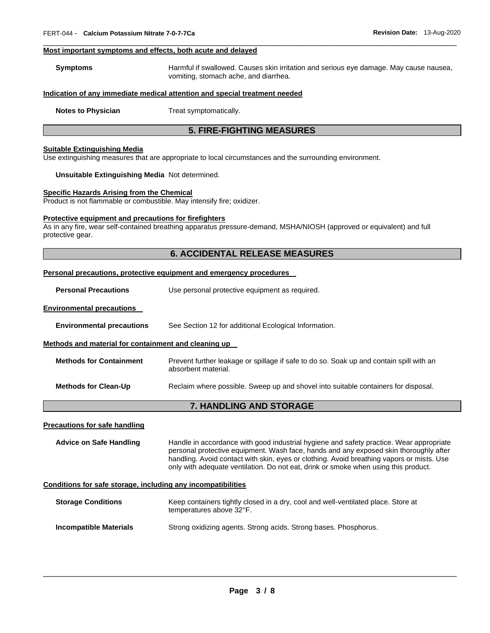## **Most important symptoms and effects, both acute and delayed**

| Symptoms | Harmful if swallowed. Causes skin irritation and serious eye damage. May cause nausea, |
|----------|----------------------------------------------------------------------------------------|
|          | vomiting, stomach ache, and diarrhea.                                                  |

\_\_\_\_\_\_\_\_\_\_\_\_\_\_\_\_\_\_\_\_\_\_\_\_\_\_\_\_\_\_\_\_\_\_\_\_\_\_\_\_\_\_\_\_\_\_\_\_\_\_\_\_\_\_\_\_\_\_\_\_\_\_\_\_\_\_\_\_\_\_\_\_\_\_\_\_\_\_\_\_\_\_\_\_\_\_\_\_\_\_\_\_\_

## **Indication of any immediate medical attention and special treatment needed**

**Notes to Physician**  Treat symptomatically.

## **5. FIRE-FIGHTING MEASURES**

## **Suitable Extinguishing Media**

Use extinguishing measures that are appropriate to local circumstances and the surrounding environment.

#### **Unsuitable Extinguishing Media** Not determined.

## **Specific Hazards Arising from the Chemical**

Product is not flammable or combustible. May intensify fire; oxidizer.

#### **Protective equipment and precautions for firefighters**

As in any fire, wear self-contained breathing apparatus pressure-demand, MSHA/NIOSH (approved or equivalent) and full protective gear.

## **6. ACCIDENTAL RELEASE MEASURES**

#### **Personal precautions, protective equipment and emergency procedures**

**Personal Precautions Use personal protective equipment as required.** 

## **Environmental precautions**

**Environmental precautions** See Section 12 for additional Ecological Information.

#### **Methods and material for containment and cleaning up**

| <b>Methods for Containment</b> | Prevent further leakage or spillage if safe to do so. Soak up and contain spill with an |
|--------------------------------|-----------------------------------------------------------------------------------------|
|                                | absorbent material.                                                                     |

**Methods for Clean-Up** Reclaim where possible. Sweep up and shovel into suitable containers for disposal.

## **7. HANDLING AND STORAGE**

#### **Precautions for safe handling**

**Advice on Safe Handling** Handle in accordance with good industrial hygiene and safety practice. Wear appropriate personal protective equipment. Wash face, hands and any exposed skin thoroughly after handling. Avoid contact with skin, eyes or clothing. Avoid breathing vapors or mists. Use only with adequate ventilation. Do not eat, drink or smoke when using this product.

## **Conditions for safe storage, including any incompatibilities**

| <b>Storage Conditions</b> | Keep containers tightly closed in a dry, cool and well-ventilated place. Store at<br>temperatures above 32°F. |  |
|---------------------------|---------------------------------------------------------------------------------------------------------------|--|
| Incompatible Materials    | Strong oxidizing agents. Strong acids. Strong bases. Phosphorus.                                              |  |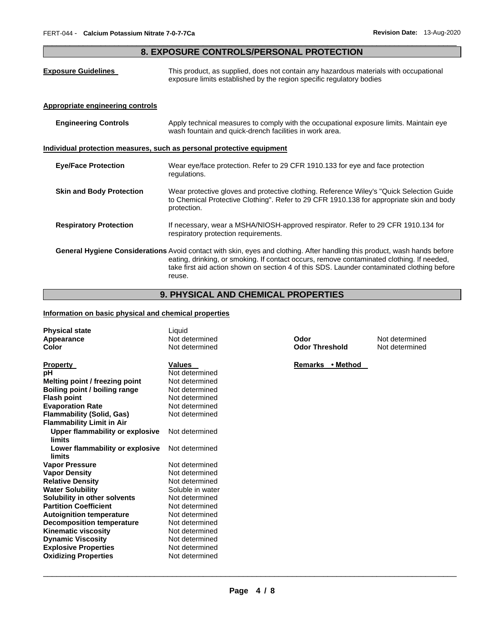## \_\_\_\_\_\_\_\_\_\_\_\_\_\_\_\_\_\_\_\_\_\_\_\_\_\_\_\_\_\_\_\_\_\_\_\_\_\_\_\_\_\_\_\_\_\_\_\_\_\_\_\_\_\_\_\_\_\_\_\_\_\_\_\_\_\_\_\_\_\_\_\_\_\_\_\_\_\_\_\_\_\_\_\_\_\_\_\_\_\_\_\_\_ **8. EXPOSURE CONTROLS/PERSONAL PROTECTION**

| <b>Exposure Guidelines</b>                                            | This product, as supplied, does not contain any hazardous materials with occupational<br>exposure limits established by the region specific regulatory bodies                                                                                                                                                                         |  |
|-----------------------------------------------------------------------|---------------------------------------------------------------------------------------------------------------------------------------------------------------------------------------------------------------------------------------------------------------------------------------------------------------------------------------|--|
| <b>Appropriate engineering controls</b>                               |                                                                                                                                                                                                                                                                                                                                       |  |
| <b>Engineering Controls</b>                                           | Apply technical measures to comply with the occupational exposure limits. Maintain eye<br>wash fountain and quick-drench facilities in work area.                                                                                                                                                                                     |  |
| Individual protection measures, such as personal protective equipment |                                                                                                                                                                                                                                                                                                                                       |  |
| <b>Eye/Face Protection</b>                                            | Wear eye/face protection. Refer to 29 CFR 1910.133 for eye and face protection<br>regulations.                                                                                                                                                                                                                                        |  |
| <b>Skin and Body Protection</b>                                       | Wear protective gloves and protective clothing. Reference Wiley's "Quick Selection Guide"<br>to Chemical Protective Clothing". Refer to 29 CFR 1910.138 for appropriate skin and body<br>protection.                                                                                                                                  |  |
| <b>Respiratory Protection</b>                                         | If necessary, wear a MSHA/NIOSH-approved respirator. Refer to 29 CFR 1910.134 for<br>respiratory protection requirements.                                                                                                                                                                                                             |  |
|                                                                       | <b>General Hygiene Considerations</b> Avoid contact with skin, eyes and clothing. After handling this product, wash hands before<br>eating, drinking, or smoking. If contact occurs, remove contaminated clothing. If needed,<br>take first aid action shown on section 4 of this SDS. Launder contaminated clothing before<br>reuse. |  |

## **9. PHYSICAL AND CHEMICAL PROPERTIES**

## **Information on basic physical and chemical properties**

| <b>Physical state</b><br>Appearance<br>Color | Liquid<br>Not determined<br>Not determined | Odor<br><b>Odor Threshold</b> | Not determined<br>Not determined |
|----------------------------------------------|--------------------------------------------|-------------------------------|----------------------------------|
| <b>Property</b>                              | <b>Values</b>                              | Remarks • Method              |                                  |
| рH                                           | Not determined                             |                               |                                  |
| Melting point / freezing point               | Not determined                             |                               |                                  |
| Boiling point / boiling range                | Not determined                             |                               |                                  |
| <b>Flash point</b>                           | Not determined                             |                               |                                  |
| <b>Evaporation Rate</b>                      | Not determined                             |                               |                                  |
| <b>Flammability (Solid, Gas)</b>             | Not determined                             |                               |                                  |
| <b>Flammability Limit in Air</b>             |                                            |                               |                                  |
| <b>Upper flammability or explosive</b>       | Not determined                             |                               |                                  |
| limits                                       |                                            |                               |                                  |
| Lower flammability or explosive              | Not determined                             |                               |                                  |
| limits                                       |                                            |                               |                                  |
| <b>Vapor Pressure</b>                        | Not determined                             |                               |                                  |
| <b>Vapor Density</b>                         | Not determined                             |                               |                                  |
| <b>Relative Density</b>                      | Not determined                             |                               |                                  |
| <b>Water Solubility</b>                      | Soluble in water                           |                               |                                  |
| Solubility in other solvents                 | Not determined                             |                               |                                  |
| <b>Partition Coefficient</b>                 | Not determined                             |                               |                                  |
| <b>Autoignition temperature</b>              | Not determined                             |                               |                                  |
| <b>Decomposition temperature</b>             | Not determined                             |                               |                                  |
| <b>Kinematic viscosity</b>                   | Not determined                             |                               |                                  |
| <b>Dynamic Viscosity</b>                     | Not determined                             |                               |                                  |
| <b>Explosive Properties</b>                  | Not determined                             |                               |                                  |
| <b>Oxidizing Properties</b>                  | Not determined                             |                               |                                  |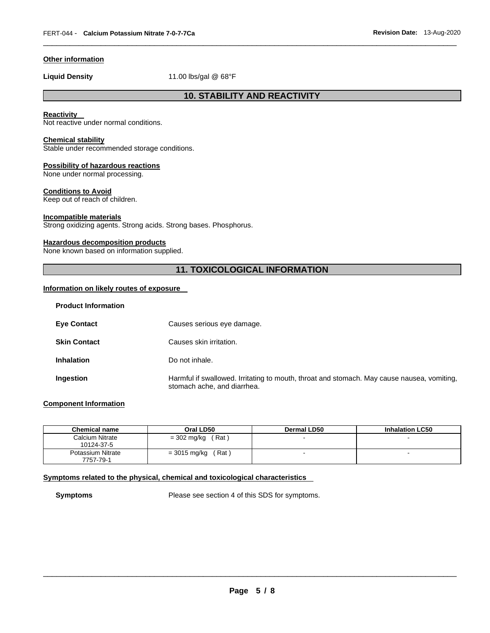## **Other information**

**Liquid Density** 11.00 lbs/gal @ 68°F

## **10. STABILITY AND REACTIVITY**

\_\_\_\_\_\_\_\_\_\_\_\_\_\_\_\_\_\_\_\_\_\_\_\_\_\_\_\_\_\_\_\_\_\_\_\_\_\_\_\_\_\_\_\_\_\_\_\_\_\_\_\_\_\_\_\_\_\_\_\_\_\_\_\_\_\_\_\_\_\_\_\_\_\_\_\_\_\_\_\_\_\_\_\_\_\_\_\_\_\_\_\_\_

## **Reactivity**

Not reactive under normal conditions.

## **Chemical stability**

Stable under recommended storage conditions.

### **Possibility of hazardous reactions**

None under normal processing.

## **Conditions to Avoid**

Keep out of reach of children.

## **Incompatible materials**

Strong oxidizing agents. Strong acids. Strong bases. Phosphorus.

#### **Hazardous decomposition products**

None known based on information supplied.

## **11. TOXICOLOGICAL INFORMATION**

## **Information on likely routes of exposure**

| <b>Product Information</b> |                                                                                                                           |
|----------------------------|---------------------------------------------------------------------------------------------------------------------------|
| <b>Eye Contact</b>         | Causes serious eye damage.                                                                                                |
| <b>Skin Contact</b>        | Causes skin irritation.                                                                                                   |
| <b>Inhalation</b>          | Do not inhale.                                                                                                            |
| Ingestion                  | Harmful if swallowed. Irritating to mouth, throat and stomach. May cause nausea, vomiting,<br>stomach ache, and diarrhea. |

## **Component Information**

| <b>Chemical name</b>           | Oral LD50               | Dermal LD50 | <b>Inhalation LC50</b> |
|--------------------------------|-------------------------|-------------|------------------------|
| Calcium Nitrate<br>10124-37-5  | ˈRat \<br>= 302 mg/kg   | $-$         |                        |
| Potassium Nitrate<br>7757-79-1 | $= 3015$ mg/kg<br>ˈRatː |             | -                      |

## **Symptoms related to the physical, chemical and toxicological characteristics**

**Symptoms** Please see section 4 of this SDS for symptoms.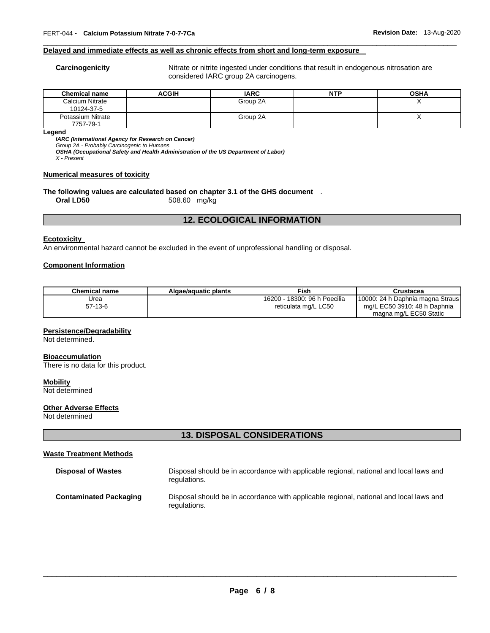#### **Delayed and immediate effects as well as chronic effects from short and long-term exposure**

**Carcinogenicity** Nitrate or nitrite ingested under conditions that result in endogenous nitrosation are considered IARC group 2A carcinogens.

| <b>Chemical name</b>           | <b>ACGIH</b> | <b>IARC</b> | NTP | <b>OSHA</b> |
|--------------------------------|--------------|-------------|-----|-------------|
| Calcium Nitrate<br>10124-37-5  |              | Group 2A    |     |             |
| Potassium Nitrate<br>7757-79-1 |              | Group 2A    |     |             |

\_\_\_\_\_\_\_\_\_\_\_\_\_\_\_\_\_\_\_\_\_\_\_\_\_\_\_\_\_\_\_\_\_\_\_\_\_\_\_\_\_\_\_\_\_\_\_\_\_\_\_\_\_\_\_\_\_\_\_\_\_\_\_\_\_\_\_\_\_\_\_\_\_\_\_\_\_\_\_\_\_\_\_\_\_\_\_\_\_\_\_\_\_

**Legend** 

*IARC (International Agency for Research on Cancer)*

*Group 2A - Probably Carcinogenic to Humans* 

*OSHA (Occupational Safety and Health Administration of the US Department of Labor)*

*X - Present* 

### **Numerical measures of toxicity**

#### **The following values are calculated based on chapter 3.1 of the GHS document** . **Oral LD50** 508.60 mg/kg

## **12. ECOLOGICAL INFORMATION**

## **Ecotoxicity**

An environmental hazard cannot be excluded in the event of unprofessional handling or disposal.

#### **Component Information**

| Chemical name | Algae/aguatic plants | Fish                         | Crustacea                         |
|---------------|----------------------|------------------------------|-----------------------------------|
| Urea          |                      | 16200 - 18300: 96 h Poecilia | 110000: 24 h Daphnia magna Straus |
| $57-13-6$     |                      | reticulata mg/L LC50         | mg/L EC50 3910: 48 h Daphnia      |
|               |                      |                              | magna mg/L EC50 Static            |

#### **Persistence/Degradability**

Not determined.

## **Bioaccumulation**

There is no data for this product.

## **Mobility**

Not determined

## **Other Adverse Effects**

Not determined

## **13. DISPOSAL CONSIDERATIONS**

## **Waste Treatment Methods**

| <b>Disposal of Wastes</b>     | Disposal should be in accordance with applicable regional, national and local laws and<br>regulations. |
|-------------------------------|--------------------------------------------------------------------------------------------------------|
| <b>Contaminated Packaging</b> | Disposal should be in accordance with applicable regional, national and local laws and<br>regulations. |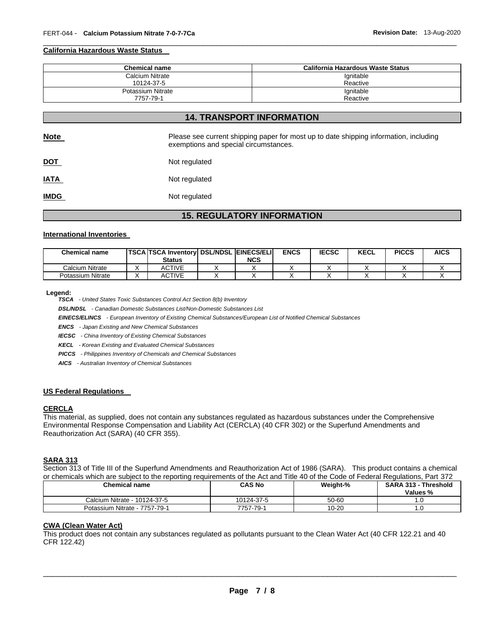#### **California Hazardous Waste Status**

| <b>Chemical name</b> | California Hazardous Waste Status |
|----------------------|-----------------------------------|
| Calcium Nitrate      | lgnitable                         |
| 10124-37-5           | Reactive                          |
| Potassium Nitrate    | Ignitable                         |
| 7757-79-1            | Reactive                          |

\_\_\_\_\_\_\_\_\_\_\_\_\_\_\_\_\_\_\_\_\_\_\_\_\_\_\_\_\_\_\_\_\_\_\_\_\_\_\_\_\_\_\_\_\_\_\_\_\_\_\_\_\_\_\_\_\_\_\_\_\_\_\_\_\_\_\_\_\_\_\_\_\_\_\_\_\_\_\_\_\_\_\_\_\_\_\_\_\_\_\_\_\_

## **14. TRANSPORT INFORMATION**

| <b>Note</b> | Please see current shipping paper for most up to date shipping information, including<br>exemptions and special circumstances. |
|-------------|--------------------------------------------------------------------------------------------------------------------------------|
| <u>DOT</u>  | Not regulated                                                                                                                  |
| <u>IATA</u> | Not regulated                                                                                                                  |
| <b>IMDG</b> | Not regulated                                                                                                                  |

## **15. REGULATORY INFORMATION**

#### **International Inventories**

| <b>Chemical name</b> | <b>TSCA TSCA Inventory DSL/NDSL EINECS/ELI</b><br><b>Status</b> | <b>NCS</b> | <b>ENCS</b> | <b>IECSC</b> | <b>KECL</b> | <b>PICCS</b> | <b>AICS</b> |
|----------------------|-----------------------------------------------------------------|------------|-------------|--------------|-------------|--------------|-------------|
| Calcium Nitrate      | ACTIVE                                                          |            |             |              |             |              |             |
| Potassium Nitrate    | ACTIVE                                                          |            |             |              |             |              |             |

#### **Legend:**

*TSCA - United States Toxic Substances Control Act Section 8(b) Inventory* 

*DSL/NDSL - Canadian Domestic Substances List/Non-Domestic Substances List* 

*EINECS/ELINCS - European Inventory of Existing Chemical Substances/European List of Notified Chemical Substances* 

*ENCS - Japan Existing and New Chemical Substances* 

*IECSC - China Inventory of Existing Chemical Substances* 

*KECL - Korean Existing and Evaluated Chemical Substances* 

*PICCS - Philippines Inventory of Chemicals and Chemical Substances* 

*AICS - Australian Inventory of Chemical Substances* 

## **US Federal Regulations**

#### **CERCLA**

This material, as supplied, does not contain any substances regulated as hazardous substances under the Comprehensive Environmental Response Compensation and Liability Act (CERCLA) (40 CFR 302) or the Superfund Amendments and Reauthorization Act (SARA) (40 CFR 355).

#### **SARA 313**

Section 313 of Title III of the Superfund Amendments and Reauthorization Act of 1986 (SARA). This product contains a chemical or chemicals which are subject to the reporting requirements of the Act and Title 40 of the Code of Federal Regulations, Part 372

| Chemical name                 | CAS No     | Weight-% | SARA 313 - Threshold<br>Values % |
|-------------------------------|------------|----------|----------------------------------|
| Calcium Nitrate - 10124-37-5  | 10124-37-5 | 50-60    |                                  |
| Potassium Nitrate - 7757-79-1 | 7757-79-1  | 10-20    |                                  |

#### **CWA (Clean Water Act)**

This product does not contain any substances regulated as pollutants pursuant to the Clean Water Act (40 CFR 122.21 and 40 CFR 122.42)